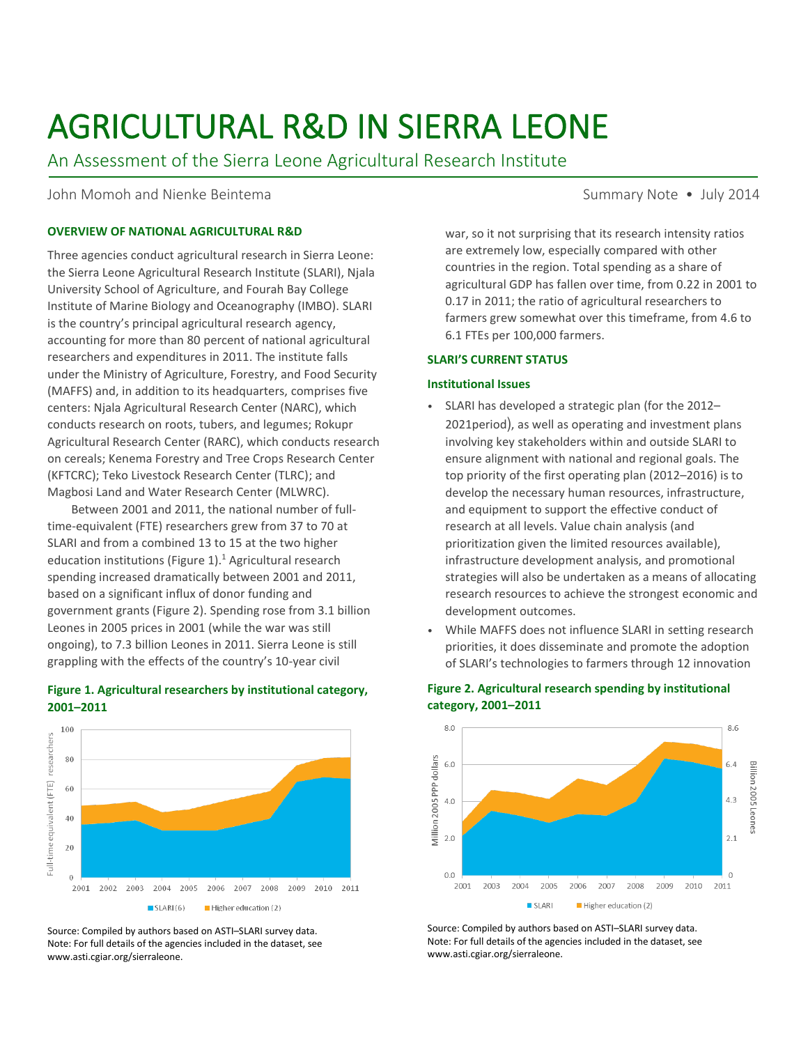# AGRICULTURAL R&D IN SIERRA LEONE

An Assessment of the Sierra Leone Agricultural Research Institute

John Momoh and Nienke Beintema Summary Note • July 2014

# **OVERVIEW OF NATIONAL AGRICULTURAL R&D**

Three agencies conduct agricultural research in Sierra Leone: the Sierra Leone Agricultural Research Institute (SLARI), Njala University School of Agriculture, and Fourah Bay College Institute of Marine Biology and Oceanography (IMBO). SLARI is the country's principal agricultural research agency, accounting for more than 80 percent of national agricultural researchers and expenditures in 2011. The institute falls under the Ministry of Agriculture, Forestry, and Food Security (MAFFS) and, in addition to its headquarters, comprises five centers: Njala Agricultural Research Center (NARC), which conducts research on roots, tubers, and legumes; Rokupr Agricultural Research Center (RARC), which conducts research on cereals; Kenema Forestry and Tree Crops Research Center (KFTCRC); Teko Livestock Research Center (TLRC); and Magbosi Land and Water Research Center (MLWRC).

Between 2001 and 2011, the national number of fulltime-equivalent (FTE) researchers grew from 37 to 70 at SLARI and from a combined 13 to 15 at the two higher education institutions (Figure 1).<sup>1</sup> Agricultural research spending increased dramatically between 2001 and 2011, based on a significant influx of donor funding and government grants (Figure 2). Spending rose from 3.1 billion Leones in 2005 prices in 2001 (while the war was still ongoing), to 7.3 billion Leones in 2011. Sierra Leone is still grappling with the effects of the country's 10-year civil

# **Figure 1. Agricultural researchers by institutional category, 2001–2011**



Source: Compiled by authors based on ASTI–SLARI survey data. Note: For full details of the agencies included in the dataset, see www.asti.cgiar.org/sierraleone.

war, so it not surprising that its research intensity ratios are extremely low, especially compared with other countries in the region. Total spending as a share of agricultural GDP has fallen over time, from 0.22 in 2001 to 0.17 in 2011; the ratio of agricultural researchers to farmers grew somewhat over this timeframe, from 4.6 to 6.1 FTEs per 100,000 farmers.

## **SLARI'S CURRENT STATUS**

## **Institutional Issues**

- SLARI has developed a strategic plan (for the 2012– 2021period), as well as operating and investment plans involving key stakeholders within and outside SLARI to ensure alignment with national and regional goals. The top priority of the first operating plan (2012–2016) is to develop the necessary human resources, infrastructure, and equipment to support the effective conduct of research at all levels. Value chain analysis (and prioritization given the limited resources available), infrastructure development analysis, and promotional strategies will also be undertaken as a means of allocating research resources to achieve the strongest economic and development outcomes.
- While MAFFS does not influence SLARI in setting research priorities, it does disseminate and promote the adoption of SLARI's technologies to farmers through 12 innovation



# **Figure 2. Agricultural research spending by institutional category, 2001–2011**

Source: Compiled by authors based on ASTI–SLARI survey data. Note: For full details of the agencies included in the dataset, see www.asti.cgiar.org/sierraleone.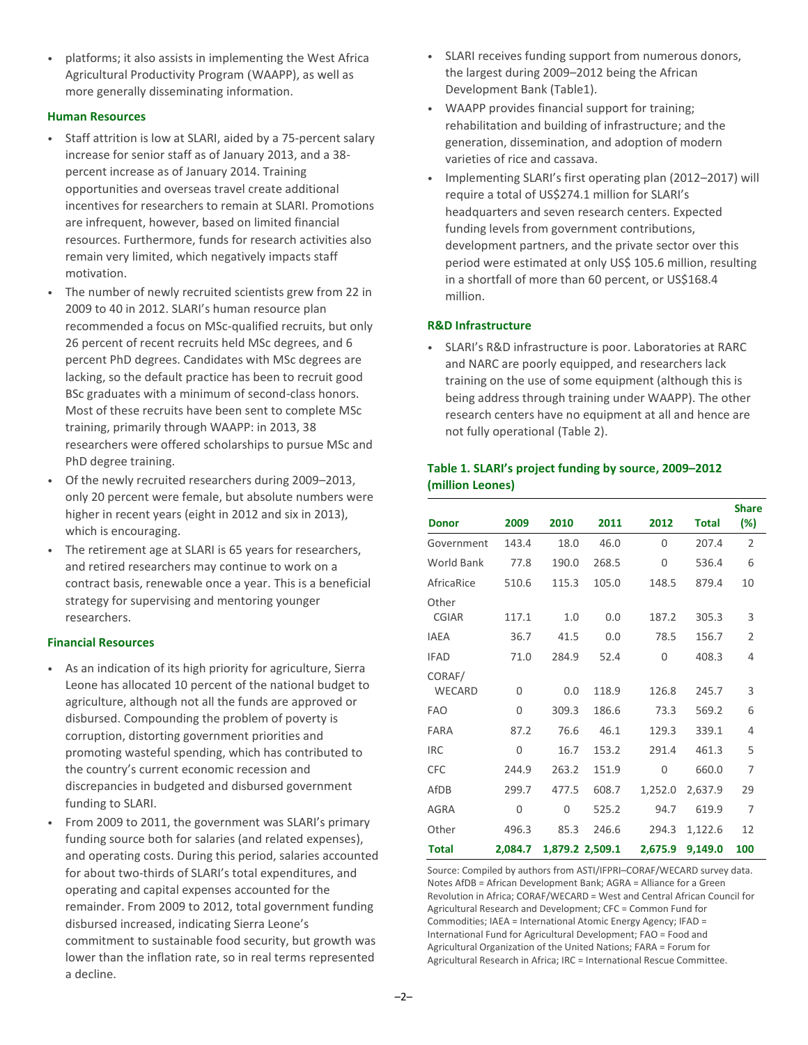• platforms; it also assists in implementing the West Africa Agricultural Productivity Program (WAAPP), as well as more generally disseminating information.

# **Human Resources**

- Staff attrition is low at SLARI, aided by a 75-percent salary increase for senior staff as of January 2013, and a 38 percent increase as of January 2014. Training opportunities and overseas travel create additional incentives for researchers to remain at SLARI. Promotions are infrequent, however, based on limited financial resources. Furthermore, funds for research activities also remain very limited, which negatively impacts staff motivation.
- The number of newly recruited scientists grew from 22 in 2009 to 40 in 2012. SLARI's human resource plan recommended a focus on MSc-qualified recruits, but only 26 percent of recent recruits held MSc degrees, and 6 percent PhD degrees. Candidates with MSc degrees are lacking, so the default practice has been to recruit good BSc graduates with a minimum of second-class honors. Most of these recruits have been sent to complete MSc training, primarily through WAAPP: in 2013, 38 researchers were offered scholarships to pursue MSc and PhD degree training.
- Of the newly recruited researchers during 2009–2013, only 20 percent were female, but absolute numbers were higher in recent years (eight in 2012 and six in 2013), which is encouraging.
- The retirement age at SLARI is 65 years for researchers, and retired researchers may continue to work on a contract basis, renewable once a year. This is a beneficial strategy for supervising and mentoring younger researchers.

# **Financial Resources**

- As an indication of its high priority for agriculture, Sierra Leone has allocated 10 percent of the national budget to agriculture, although not all the funds are approved or disbursed. Compounding the problem of poverty is corruption, distorting government priorities and promoting wasteful spending, which has contributed to the country's current economic recession and discrepancies in budgeted and disbursed government funding to SLARI.
- From 2009 to 2011, the government was SLARI's primary funding source both for salaries (and related expenses), and operating costs. During this period, salaries accounted for about two-thirds of SLARI's total expenditures, and operating and capital expenses accounted for the remainder. From 2009 to 2012, total government funding disbursed increased, indicating Sierra Leone's commitment to sustainable food security, but growth was lower than the inflation rate, so in real terms represented a decline.
- SLARI receives funding support from numerous donors, the largest during 2009–2012 being the African Development Bank (Table1).
- WAAPP provides financial support for training; rehabilitation and building of infrastructure; and the generation, dissemination, and adoption of modern varieties of rice and cassava.
- Implementing SLARI's first operating plan (2012–2017) will require a total of US\$274.1 million for SLARI's headquarters and seven research centers. Expected funding levels from government contributions, development partners, and the private sector over this period were estimated at only US\$ 105.6 million, resulting in a shortfall of more than 60 percent, or US\$168.4 million.

## **R&D Infrastructure**

• SLARI's R&D infrastructure is poor. Laboratories at RARC and NARC are poorly equipped, and researchers lack training on the use of some equipment (although this is being address through training under WAAPP). The other research centers have no equipment at all and hence are not fully operational (Table 2).

# **Table 1. SLARI's project funding by source, 2009–2012 (million Leones)**

| <b>Donor</b>          | 2009     | 2010            | 2011  | 2012     | <b>Total</b> | <b>Share</b><br>(%) |
|-----------------------|----------|-----------------|-------|----------|--------------|---------------------|
| Government            | 143.4    | 18.0            | 46.0  | 0        | 207.4        | $\overline{2}$      |
| <b>World Bank</b>     | 77.8     | 190.0           | 268.5 | 0        | 536.4        | 6                   |
| AfricaRice            | 510.6    | 115.3           | 105.0 | 148.5    | 879.4        | 10                  |
| Other<br><b>CGIAR</b> | 117.1    | 1.0             | 0.0   | 187.2    | 305.3        | 3                   |
| <b>IAEA</b>           | 36.7     | 41.5            | 0.0   | 78.5     | 156.7        | $\overline{2}$      |
| <b>IFAD</b>           | 71.0     | 284.9           | 52.4  | 0        | 408.3        | 4                   |
| CORAF/<br>WECARD      | $\Omega$ | 0.0             | 118.9 | 126.8    | 245.7        | 3                   |
| <b>FAO</b>            | 0        | 309.3           | 186.6 | 73.3     | 569.2        | 6                   |
| FARA                  | 87.2     | 76.6            | 46.1  | 129.3    | 339.1        | 4                   |
| <b>IRC</b>            | $\Omega$ | 16.7            | 153.2 | 291.4    | 461.3        | 5                   |
| <b>CFC</b>            | 244.9    | 263.2           | 151.9 | $\Omega$ | 660.0        | 7                   |
| AfDB                  | 299.7    | 477.5           | 608.7 | 1,252.0  | 2,637.9      | 29                  |
| <b>AGRA</b>           | 0        | $\Omega$        | 525.2 | 94.7     | 619.9        | 7                   |
| Other                 | 496.3    | 85.3            | 246.6 | 294.3    | 1,122.6      | 12                  |
| Total                 | 2.084.7  | 1,879.2 2,509.1 |       | 2,675.9  | 9,149.0      | 100                 |

Source: Compiled by authors from ASTI/IFPRI–CORAF/WECARD survey data. Notes AfDB = African Development Bank; AGRA = Alliance for a Green Revolution in Africa; CORAF/WECARD = West and Central African Council for Agricultural Research and Development; CFC = Common Fund for Commodities; IAEA = International Atomic Energy Agency; IFAD = International Fund for Agricultural Development; FAO = Food and Agricultural Organization of the United Nations; FARA = Forum for Agricultural Research in Africa; IRC = International Rescue Committee.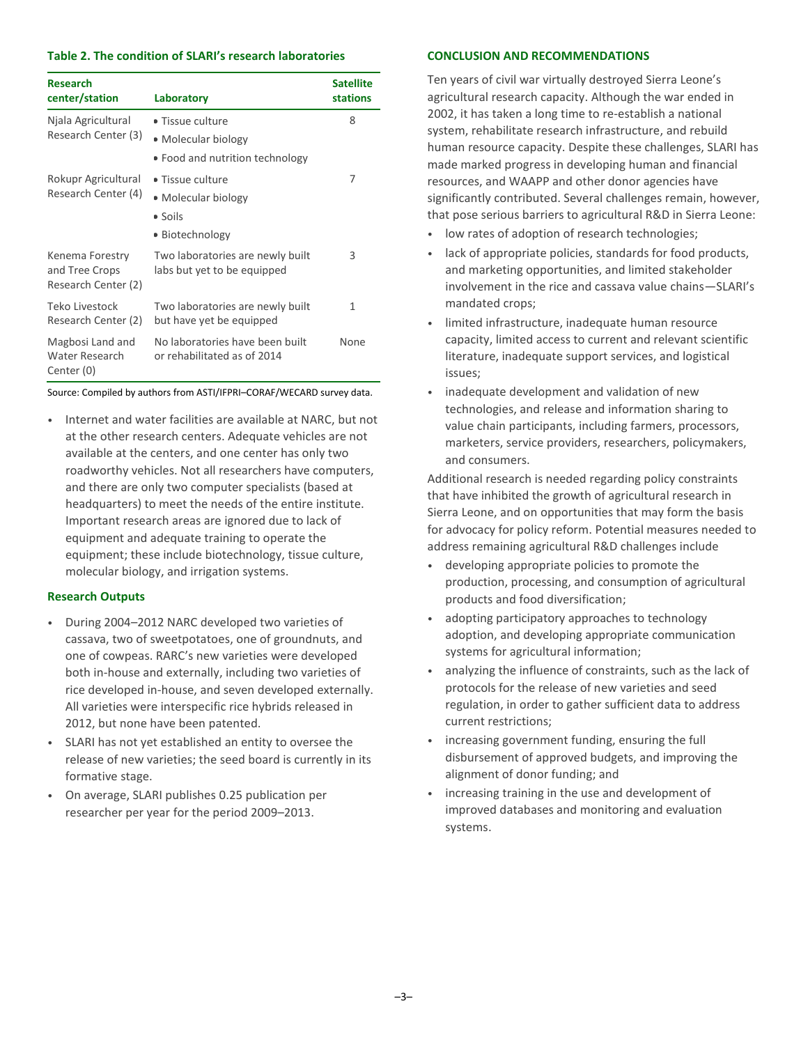### **Table 2. The condition of SLARI's research laboratories**

| <b>Research</b><br>center/station                        | Laboratory                                                                 | <b>Satellite</b><br><b>stations</b> |
|----------------------------------------------------------|----------------------------------------------------------------------------|-------------------------------------|
| Njala Agricultural<br>Research Center (3)                | • Tissue culture<br>• Molecular biology<br>• Food and nutrition technology | 8                                   |
| Rokupr Agricultural<br>Research Center (4)               | • Tissue culture<br>• Molecular biology<br>• Soils<br>■ Biotechnology      | 7                                   |
| Kenema Forestry<br>and Tree Crops<br>Research Center (2) | Two laboratories are newly built<br>labs but yet to be equipped            | 3                                   |
| Teko Livestock<br>Research Center (2)                    | Two laboratories are newly built<br>but have yet be equipped               | 1                                   |
| Magbosi Land and<br>Water Research<br>Center (0)         | No laboratories have been built<br>or rehabilitated as of 2014             | None                                |

Source: Compiled by authors from ASTI/IFPRI–CORAF/WECARD survey data.

• Internet and water facilities are available at NARC, but not at the other research centers. Adequate vehicles are not available at the centers, and one center has only two roadworthy vehicles. Not all researchers have computers, and there are only two computer specialists (based at headquarters) to meet the needs of the entire institute. Important research areas are ignored due to lack of equipment and adequate training to operate the equipment; these include biotechnology, tissue culture, molecular biology, and irrigation systems.

## **Research Outputs**

- During 2004–2012 NARC developed two varieties of cassava, two of sweetpotatoes, one of groundnuts, and one of cowpeas. RARC's new varieties were developed both in-house and externally, including two varieties of rice developed in-house, and seven developed externally. All varieties were interspecific rice hybrids released in 2012, but none have been patented.
- SLARI has not yet established an entity to oversee the release of new varieties; the seed board is currently in its formative stage.
- On average, SLARI publishes 0.25 publication per researcher per year for the period 2009–2013.

## **CONCLUSION AND RECOMMENDATIONS**

Ten years of civil war virtually destroyed Sierra Leone's agricultural research capacity. Although the war ended in 2002, it has taken a long time to re-establish a national system, rehabilitate research infrastructure, and rebuild human resource capacity. Despite these challenges, SLARI has made marked progress in developing human and financial resources, and WAAPP and other donor agencies have significantly contributed. Several challenges remain, however, that pose serious barriers to agricultural R&D in Sierra Leone:

- low rates of adoption of research technologies;
- lack of appropriate policies, standards for food products, and marketing opportunities, and limited stakeholder involvement in the rice and cassava value chains—SLARI's mandated crops;
- limited infrastructure, inadequate human resource capacity, limited access to current and relevant scientific literature, inadequate support services, and logistical issues;
- inadequate development and validation of new technologies, and release and information sharing to value chain participants, including farmers, processors, marketers, service providers, researchers, policymakers, and consumers.

Additional research is needed regarding policy constraints that have inhibited the growth of agricultural research in Sierra Leone, and on opportunities that may form the basis for advocacy for policy reform. Potential measures needed to address remaining agricultural R&D challenges include

- developing appropriate policies to promote the production, processing, and consumption of agricultural products and food diversification;
- adopting participatory approaches to technology adoption, and developing appropriate communication systems for agricultural information;
- analyzing the influence of constraints, such as the lack of protocols for the release of new varieties and seed regulation, in order to gather sufficient data to address current restrictions;
- increasing government funding, ensuring the full disbursement of approved budgets, and improving the alignment of donor funding; and
- increasing training in the use and development of improved databases and monitoring and evaluation systems.